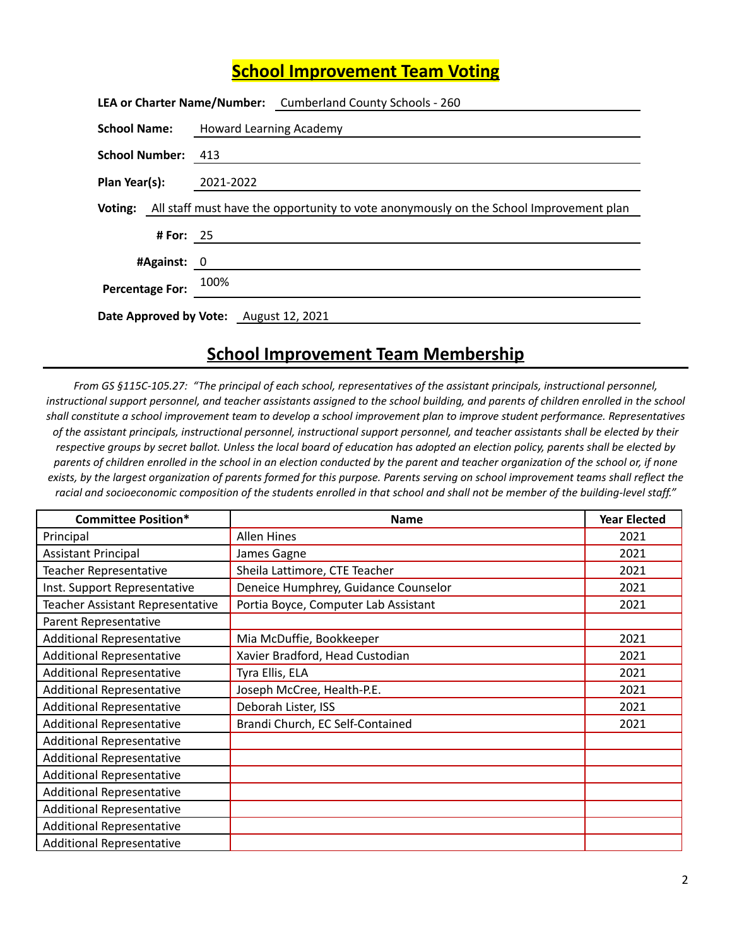## **School Improvement Team Voting**

|                                        |                                | LEA or Charter Name/Number: Cumberland County Schools - 260                                           |
|----------------------------------------|--------------------------------|-------------------------------------------------------------------------------------------------------|
| <b>School Name:</b>                    | <b>Howard Learning Academy</b> |                                                                                                       |
| School Number: 413                     |                                |                                                                                                       |
| Plan Year(s):                          | 2021-2022                      |                                                                                                       |
|                                        |                                | <b>Voting:</b> All staff must have the opportunity to vote anonymously on the School Improvement plan |
| # For: $25$                            |                                |                                                                                                       |
| #Against: 0                            |                                |                                                                                                       |
| Percentage For: 100%                   |                                |                                                                                                       |
| Date Approved by Vote: August 12, 2021 |                                |                                                                                                       |

## **School Improvement Team Membership**

From GS §115C-105.27: "The principal of each school, representatives of the assistant principals, instructional personnel, instructional support personnel, and teacher assistants assigned to the school building, and parents of children enrolled in the school shall constitute a school improvement team to develop a school improvement plan to improve student performance. Representatives of the assistant principals, instructional personnel, instructional support personnel, and teacher assistants shall be elected by their respective groups by secret ballot. Unless the local board of education has adopted an election policy, parents shall be elected by parents of children enrolled in the school in an election conducted by the parent and teacher organization of the school or, if none exists, by the largest organization of parents formed for this purpose. Parents serving on school improvement teams shall reflect the racial and socioeconomic composition of the students enrolled in that school and shall not be member of the building-level staff."

| <b>Committee Position*</b>       | <b>Name</b>                          | <b>Year Elected</b> |
|----------------------------------|--------------------------------------|---------------------|
| Principal                        | <b>Allen Hines</b>                   | 2021                |
| <b>Assistant Principal</b>       | James Gagne                          | 2021                |
| Teacher Representative           | Sheila Lattimore, CTE Teacher        | 2021                |
| Inst. Support Representative     | Deneice Humphrey, Guidance Counselor | 2021                |
| Teacher Assistant Representative | Portia Boyce, Computer Lab Assistant | 2021                |
| Parent Representative            |                                      |                     |
| <b>Additional Representative</b> | Mia McDuffie, Bookkeeper             | 2021                |
| <b>Additional Representative</b> | Xavier Bradford, Head Custodian      | 2021                |
| <b>Additional Representative</b> | Tyra Ellis, ELA                      | 2021                |
| <b>Additional Representative</b> | Joseph McCree, Health-P.E.           | 2021                |
| <b>Additional Representative</b> | Deborah Lister, ISS                  | 2021                |
| <b>Additional Representative</b> | Brandi Church, EC Self-Contained     | 2021                |
| <b>Additional Representative</b> |                                      |                     |
| <b>Additional Representative</b> |                                      |                     |
| <b>Additional Representative</b> |                                      |                     |
| <b>Additional Representative</b> |                                      |                     |
| <b>Additional Representative</b> |                                      |                     |
| <b>Additional Representative</b> |                                      |                     |
| <b>Additional Representative</b> |                                      |                     |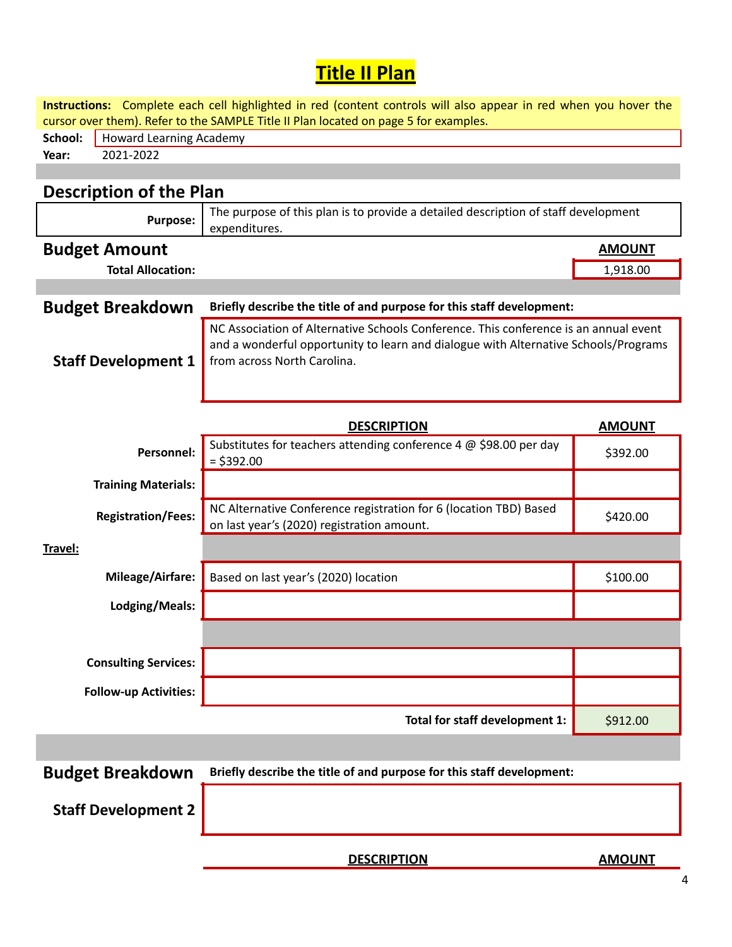## **Title II Plan**

**Instructions:** Complete each cell highlighted in red (content controls will also appear in red when you hover the cursor over them). Refer to the SAMPLE Title II Plan located on page 5 for examples. School: | Howard Learning Academy **Year:** 2021-2022

## **Description of the Plan**

| <b>Purpose:</b>              | The purpose of this plan is to provide a detailed description of staff development<br>expenditures.                                                                                                        |               |
|------------------------------|------------------------------------------------------------------------------------------------------------------------------------------------------------------------------------------------------------|---------------|
| <b>Budget Amount</b>         |                                                                                                                                                                                                            | <b>AMOUNT</b> |
| <b>Total Allocation:</b>     |                                                                                                                                                                                                            | 1,918.00      |
|                              |                                                                                                                                                                                                            |               |
| <b>Budget Breakdown</b>      | Briefly describe the title of and purpose for this staff development:                                                                                                                                      |               |
| <b>Staff Development 1</b>   | NC Association of Alternative Schools Conference. This conference is an annual event<br>and a wonderful opportunity to learn and dialogue with Alternative Schools/Programs<br>from across North Carolina. |               |
|                              | <b>DESCRIPTION</b>                                                                                                                                                                                         | <b>AMOUNT</b> |
| <b>Personnel:</b>            | Substitutes for teachers attending conference 4 @ \$98.00 per day<br>$=$ \$392.00                                                                                                                          | \$392.00      |
| <b>Training Materials:</b>   |                                                                                                                                                                                                            |               |
| <b>Registration/Fees:</b>    | NC Alternative Conference registration for 6 (location TBD) Based<br>on last year's (2020) registration amount.                                                                                            | \$420.00      |
| Travel:                      |                                                                                                                                                                                                            |               |
| <b>Mileage/Airfare:</b>      | Based on last year's (2020) location                                                                                                                                                                       | \$100.00      |
| Lodging/Meals:               |                                                                                                                                                                                                            |               |
|                              |                                                                                                                                                                                                            |               |
| <b>Consulting Services:</b>  |                                                                                                                                                                                                            |               |
| <b>Follow-up Activities:</b> |                                                                                                                                                                                                            |               |
|                              | Total for staff development 1:                                                                                                                                                                             | \$912.00      |
|                              |                                                                                                                                                                                                            |               |
| <b>Budget Breakdown</b>      | Briefly describe the title of and purpose for this staff development:                                                                                                                                      |               |

**Staff Development 2**

**DESCRIPTION AMOUNT**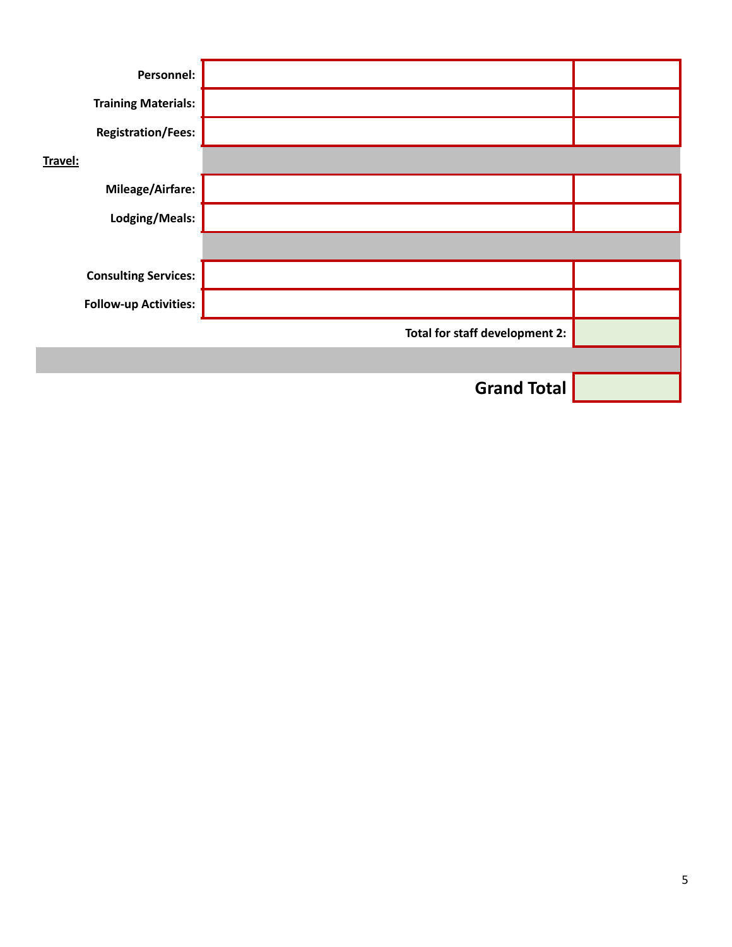| Personnel:                   |                                |  |
|------------------------------|--------------------------------|--|
| <b>Training Materials:</b>   |                                |  |
| <b>Registration/Fees:</b>    |                                |  |
| Travel:                      |                                |  |
| Mileage/Airfare:             |                                |  |
| Lodging/Meals:               |                                |  |
|                              |                                |  |
| <b>Consulting Services:</b>  |                                |  |
| <b>Follow-up Activities:</b> |                                |  |
|                              | Total for staff development 2: |  |
|                              |                                |  |
|                              | <b>Grand Total</b>             |  |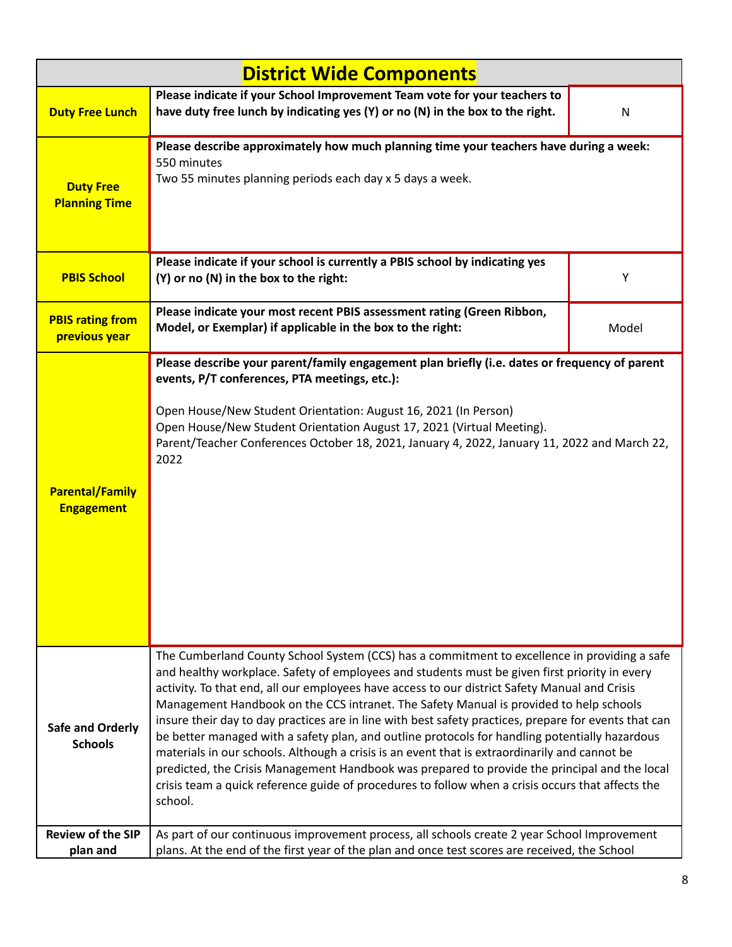| <b>District Wide Components</b>             |                                                                                                                                                                                                                                                                                                                                                                                                                                                                                                                                                                                                                                                                                                                                                                                                                                                                                                                       |       |  |
|---------------------------------------------|-----------------------------------------------------------------------------------------------------------------------------------------------------------------------------------------------------------------------------------------------------------------------------------------------------------------------------------------------------------------------------------------------------------------------------------------------------------------------------------------------------------------------------------------------------------------------------------------------------------------------------------------------------------------------------------------------------------------------------------------------------------------------------------------------------------------------------------------------------------------------------------------------------------------------|-------|--|
| <b>Duty Free Lunch</b>                      | Please indicate if your School Improvement Team vote for your teachers to<br>have duty free lunch by indicating yes (Y) or no (N) in the box to the right.                                                                                                                                                                                                                                                                                                                                                                                                                                                                                                                                                                                                                                                                                                                                                            | N     |  |
| <b>Duty Free</b><br><b>Planning Time</b>    | Please describe approximately how much planning time your teachers have during a week:<br>550 minutes<br>Two 55 minutes planning periods each day x 5 days a week.                                                                                                                                                                                                                                                                                                                                                                                                                                                                                                                                                                                                                                                                                                                                                    |       |  |
| <b>PBIS School</b>                          | Please indicate if your school is currently a PBIS school by indicating yes<br>(Y) or no (N) in the box to the right:                                                                                                                                                                                                                                                                                                                                                                                                                                                                                                                                                                                                                                                                                                                                                                                                 | Υ     |  |
| <b>PBIS rating from</b><br>previous year    | Please indicate your most recent PBIS assessment rating (Green Ribbon,<br>Model, or Exemplar) if applicable in the box to the right:                                                                                                                                                                                                                                                                                                                                                                                                                                                                                                                                                                                                                                                                                                                                                                                  | Model |  |
| <b>Parental/Family</b><br><b>Engagement</b> | Please describe your parent/family engagement plan briefly (i.e. dates or frequency of parent<br>events, P/T conferences, PTA meetings, etc.):<br>Open House/New Student Orientation: August 16, 2021 (In Person)<br>Open House/New Student Orientation August 17, 2021 (Virtual Meeting).<br>Parent/Teacher Conferences October 18, 2021, January 4, 2022, January 11, 2022 and March 22,<br>2022                                                                                                                                                                                                                                                                                                                                                                                                                                                                                                                    |       |  |
| <b>Safe and Orderly</b><br><b>Schools</b>   | The Cumberland County School System (CCS) has a commitment to excellence in providing a safe<br>and healthy workplace. Safety of employees and students must be given first priority in every<br>activity. To that end, all our employees have access to our district Safety Manual and Crisis<br>Management Handbook on the CCS intranet. The Safety Manual is provided to help schools<br>insure their day to day practices are in line with best safety practices, prepare for events that can<br>be better managed with a safety plan, and outline protocols for handling potentially hazardous<br>materials in our schools. Although a crisis is an event that is extraordinarily and cannot be<br>predicted, the Crisis Management Handbook was prepared to provide the principal and the local<br>crisis team a quick reference guide of procedures to follow when a crisis occurs that affects the<br>school. |       |  |
| <b>Review of the SIP</b><br>plan and        | As part of our continuous improvement process, all schools create 2 year School Improvement<br>plans. At the end of the first year of the plan and once test scores are received, the School                                                                                                                                                                                                                                                                                                                                                                                                                                                                                                                                                                                                                                                                                                                          |       |  |